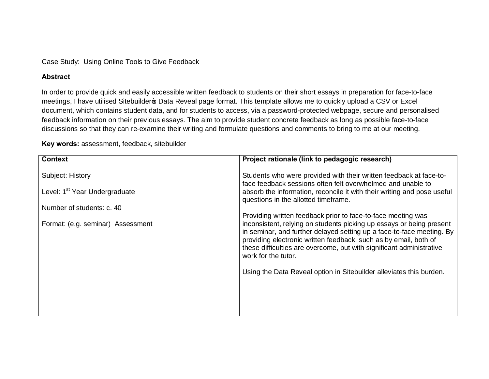Case Study: Using Online Tools to Give Feedback

## **Abstract**

In order to provide quick and easily accessible written feedback to students on their short essays in preparation for face-to-face meetings, I have utilised Sitebuilder pData Reveal page format. This template allows me to quickly upload a CSV or Excel document, which contains student data, and for students to access, via a password-protected webpage, secure and personalised feedback information on their previous essays. The aim to provide student concrete feedback as long as possible face-to-face discussions so that they can re-examine their writing and formulate questions and comments to bring to me at our meeting.

**Key words:** assessment, feedback, sitebuilder

| <b>Context</b>                            | Project rationale (link to pedagogic research)                                                                                                                                                                                                                                                                   |  |  |  |  |  |  |  |
|-------------------------------------------|------------------------------------------------------------------------------------------------------------------------------------------------------------------------------------------------------------------------------------------------------------------------------------------------------------------|--|--|--|--|--|--|--|
|                                           |                                                                                                                                                                                                                                                                                                                  |  |  |  |  |  |  |  |
| Subject: History                          | Students who were provided with their written feedback at face-to-<br>face feedback sessions often felt overwhelmed and unable to                                                                                                                                                                                |  |  |  |  |  |  |  |
| Level: 1 <sup>st</sup> Year Undergraduate | absorb the information, reconcile it with their writing and pose useful<br>questions in the allotted timeframe.                                                                                                                                                                                                  |  |  |  |  |  |  |  |
| Number of students: c. 40                 |                                                                                                                                                                                                                                                                                                                  |  |  |  |  |  |  |  |
|                                           | Providing written feedback prior to face-to-face meeting was                                                                                                                                                                                                                                                     |  |  |  |  |  |  |  |
| Format: (e.g. seminar) Assessment         | inconsistent, relying on students picking up essays or being present<br>in seminar, and further delayed setting up a face-to-face meeting. By<br>providing electronic written feedback, such as by email, both of<br>these difficulties are overcome, but with significant administrative<br>work for the tutor. |  |  |  |  |  |  |  |
|                                           | Using the Data Reveal option in Sitebuilder alleviates this burden.                                                                                                                                                                                                                                              |  |  |  |  |  |  |  |
|                                           |                                                                                                                                                                                                                                                                                                                  |  |  |  |  |  |  |  |
|                                           |                                                                                                                                                                                                                                                                                                                  |  |  |  |  |  |  |  |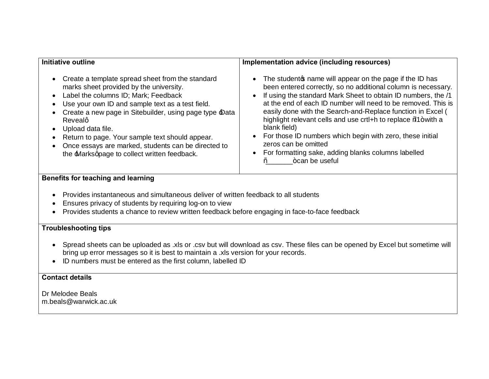| <b>Initiative outline</b>                                                                                                                                                                                                                                                                                                                                                                                                                          | Implementation advice (including resources)                                                                                                                                                                                                                                                                                                                                                                                                                                                                                                                                            |  |  |  |  |  |
|----------------------------------------------------------------------------------------------------------------------------------------------------------------------------------------------------------------------------------------------------------------------------------------------------------------------------------------------------------------------------------------------------------------------------------------------------|----------------------------------------------------------------------------------------------------------------------------------------------------------------------------------------------------------------------------------------------------------------------------------------------------------------------------------------------------------------------------------------------------------------------------------------------------------------------------------------------------------------------------------------------------------------------------------------|--|--|--|--|--|
| • Create a template spread sheet from the standard<br>marks sheet provided by the university.<br>• Label the columns ID; Mark; Feedback<br>• Use your own ID and sample text as a test field.<br>Create a new page in Sitebuilder, using page type Data<br>Revealg<br>• Upload data file.<br>Return to page. Your sample text should appear.<br>Once essays are marked, students can be directed to<br>the Marksqpage to collect written feedback. | • The student of name will appear on the page if the ID has<br>been entered correctly, so no additional column is necessary.<br>• If using the standard Mark Sheet to obtain ID numbers, the /1<br>at the end of each ID number will need to be removed. This is<br>easily done with the Search-and-Replace function in Excel (<br>highlight relevant cells and use crtl+h to replace %4+with a<br>blank field)<br>• For those ID numbers which begin with zero, these initial<br>zeros can be omitted<br>• For formatting sake, adding blanks columns labelled<br>+can be useful<br>‰ |  |  |  |  |  |

## **Benefits for teaching and learning**

- · Provides instantaneous and simultaneous deliver of written feedback to all students
- · Ensures privacy of students by requiring log-on to view
- · Provides students a chance to review written feedback before engaging in face-to-face feedback

## **Troubleshooting tips**

- · Spread sheets can be uploaded as .xls or .csv but will download as csv. These files can be opened by Excel but sometime will bring up error messages so it is best to maintain a .xls version for your records.
- · ID numbers must be entered as the first column, labelled ID

## **Contact details**

Dr Melodee Beals m.beals@warwick.ac.uk